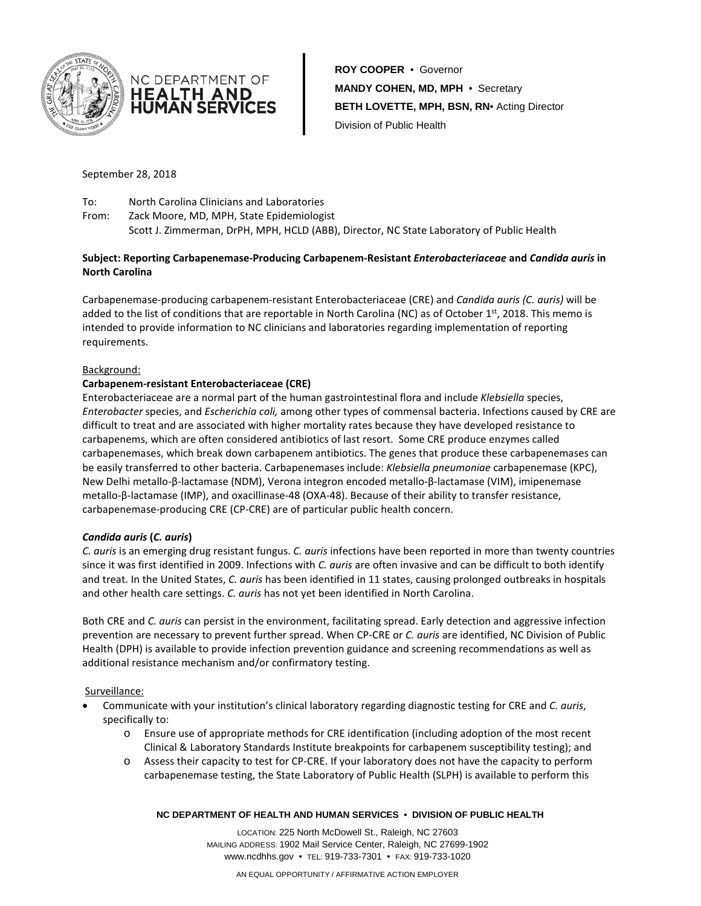



**ROY COOPER** • Governor **MANDY COHEN, MD, MPH** • Secretary **BETH LOVETTE, MPH, BSN, RN**• Acting Director Division of Public Health

September 28, 2018

To: North Carolina Clinicians and Laboratories From: Zack Moore, MD, MPH, State Epidemiologist Scott J. Zimmerman, DrPH, MPH, HCLD (ABB), Director, NC State Laboratory of Public Health

## **Subject: Reporting Carbapenemase-Producing Carbapenem-Resistant** *Enterobacteriaceae* **and** *Candida auris* **in North Carolina**

Carbapenemase-producing carbapenem-resistant Enterobacteriaceae (CRE) and *Candida auris (C. auris)* will be added to the list of conditions that are reportable in North Carolina (NC) as of October  $1<sup>st</sup>$ , 2018. This memo is intended to provide information to NC clinicians and laboratories regarding implementation of reporting requirements.

### Background:

# **Carbapenem-resistant Enterobacteriaceae (CRE)**

Enterobacteriaceae are a normal part of the human gastrointestinal flora and include *Klebsiella* species, *Enterobacter* species, and *Escherichia coli,* among other types of commensal bacteria. Infections caused by CRE are difficult to treat and are associated with higher mortality rates because they have developed resistance to carbapenems, which are often considered antibiotics of last resort. Some CRE produce enzymes called carbapenemases, which break down carbapenem antibiotics. The genes that produce these carbapenemases can be easily transferred to other bacteria. Carbapenemases include: *Klebsiella pneumoniae* carbapenemase (KPC), New Delhi metallo-β-lactamase (NDM), Verona integron encoded metallo-β-lactamase (VIM), imipenemase metallo-β-lactamase (IMP), and oxacillinase-48 (OXA-48). Because of their ability to transfer resistance, carbapenemase-producing CRE (CP-CRE) are of particular public health concern.

### *Candida auris* **(***C. auris***)**

*C. auris* is an emerging drug resistant fungus. *C. auris* infections have been reported in more than twenty countries since it was first identified in 2009. Infections with *C. auris* are often invasive and can be difficult to both identify and treat. In the United States, *C. auris* has been identified in 11 states, causing prolonged outbreaks in hospitals and other health care settings. *C. auris* has not yet been identified in North Carolina.

Both CRE and *C. auris* can persist in the environment, facilitating spread. Early detection and aggressive infection prevention are necessary to prevent further spread. When CP-CRE or *C. auris* are identified, NC Division of Public Health (DPH) is available to provide infection prevention guidance and screening recommendations as well as additional resistance mechanism and/or confirmatory testing.

### Surveillance:

- Communicate with your institution's clinical laboratory regarding diagnostic testing for CRE and *C. auris*, specifically to:
	- o Ensure use of appropriate methods for CRE identification (including adoption of the most recent Clinical & Laboratory Standards Institute breakpoints for carbapenem susceptibility testing); and
	- o Assess their capacity to test for CP-CRE. If your laboratory does not have the capacity to perform carbapenemase testing, the State Laboratory of Public Health (SLPH) is available to perform this

#### **NC DEPARTMENT OF HEALTH AND HUMAN SERVICES • DIVISION OF PUBLIC HEALTH**

LOCATION: 225 North McDowell St., Raleigh, NC 27603 MAILING ADDRESS: 1902 Mail Service Center, Raleigh, NC 27699-1902 www.ncdhhs.gov • TEL: 919-733-7301 • FAX: 919-733-1020